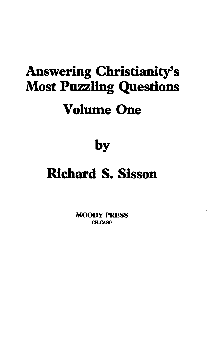# Answering Christianity's Most Puzzling Questions Volume One

by

## Richard S. Sisson

MOODY PRESS CHICAGO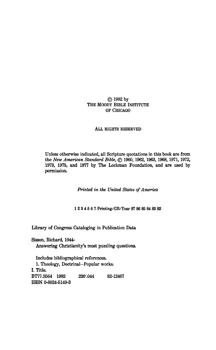#### © 1982 by THE MOODY BIBLE INSTITUTE OF CHICAGO

#### ALL RIGHTS RESERVED

Unless otherwise indicated, all Scripture quotations in this book are from the *New American Standard Bible,* © 1960, 1962, 1963, 1968, 1971, 1972, 1973, 1975, and 1977 by The Lockman Foundation, and are used by permission.

*Printed in the United States of America* 

1234567 Printing/GB/Year 87 86 85 84 83 82

Library of Congress Cataloging in Publication Data

Sisson, Richard, 1944- Answering Christianity's most puzzling questions.

Includes bibliographical references. 1. Theology, Doctrinal-Popular works. I. Title. BT77.S564 1982 230'.044 82-12467 ISBN 0-8024-5149-3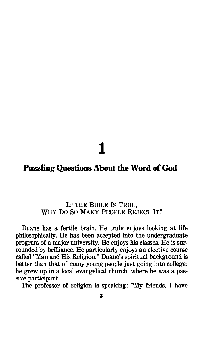# 1

### **Puzzling Questions About the Word of God**

### IF THE BIBLE Is TRUE, WHY DO SO MANY PEOPLE REJECT IT?

Duane has a fertile brain. He truly enjoys looking at life philosophically. He has been accepted into the undergraduate program of a major university. He enjoys his classes. He is surrounded by brilliance. He particularly enjoys an elective course called "Man and His Religion." Duane's spiritual background is better than that of many young people just going into college: he grew up in a local evangelical church, where he was a passive participant.

The professor of religion is speaking: "My friends, I have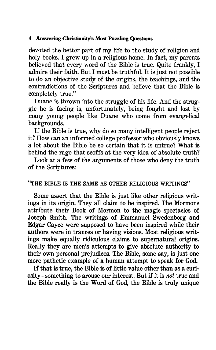devoted the better part of my life to the study of religion and holy books. I grew up in a religious home. In fact, my parents believed that every word of the Bible is true. Quite frankly, I admire their faith. But I must be truthful. It is just not possible to do an objective study of the origins, the teachings, and the contradictions of the Scriptures and believe that the Bible is completely true."

Duane is thrown into the struggle of his life. And the struggle he is facing is, unfortunately, being fought and lost by many young people like Duane who come from evangelical backgrounds.

If the Bible is true, why do so many intelligent people reject it? How can an informed college professor who obviously knows a lot about the Bible be so certain that it is untrue? What is behind the rage that scoffs at the very idea of absolute truth?

Look at a few of the arguments of those who deny the truth of the Scriptures:

#### "THE BIBLE IS THE SAME AS OTHER RELIGIOUS WRITINGS"

Some assert that the Bible is just like other religious writings in its origin. They all claim to be inspired. The Mormons attribute their Book of Mormon to the magic spectacles of Joseph Smith. The writings of Emmanuel Swedenborg and Edgar Cayce were supposed to have been inspired while their authors were in trances or having visions. Most religious writings make equally ridiculous claims to supernatural origins. Really they are men's attempts to give absolute authority to their own personal prejudices. The Bible, some say, is just one more pathetic example of a human attempt to speak for God.

If that is true, the Bible is of little value other than as a curiosity-something to arouse our interest. But if it is *not* true and the Bible really is the Word of God, the Bible is truly unique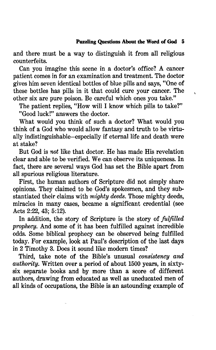and there must be a way to distinguish it from all religious counterfeits.

Can you imagine this scene in a doctor's office? A cancer patient comes in for an examination and treatment. The doctor gives him seven identical bottles of blue pills and says, "One of these bottles has pills in it that could cure your cancer. The other six are pure poison. Be careful which ones you take."

The patient replies, "How will I know which pills to take?" "Good luck!" answers the doctor.

What would you think of such a doctor? What would you think of a God who would allow fantasy and truth to be virtually indistinguishable-especially if eternal life and death were at stake?

But God is *not* like that doctor. He has made His revelation clear and able to be verified. We can observe its uniqueness. In fact, there are several ways God has set the Bible apart from all spurious religious literature.

First, the human authors of Scripture did not simply share opinions. They claimed to be God's spokesmen, and they substantiated their claims with *mighty deeds.* Those mighty deeds, miracles in many cases, became a significant credential (see Acts 2:22, 43; 5:12).

In addition, the story of Scripture is the story of *fulfilled prophecy.* And some of it has been fulfilled against incredible odds. Some biblical prophecy can be observed being fulfilled today. For example, look at Paul's description of the last days in 2 Timothy 3. Does it sound like modern times?

Third, take note of the Bible's unusual *consistency and authority.* Written over a period of about 1500 years, in sixtysix separate books and by more than a score of different authors, drawing from educated as well as uneducated men of all kinds of occupations, the Bible is an astounding example of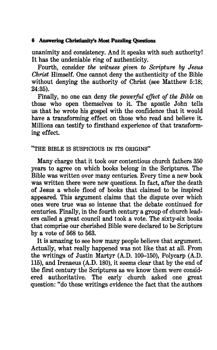unanimity and consistency. And it speaks with such authority! It has the undeniable ring of authenticity.

Fourth, consider *the witness given to Scripture* by *Jesus Christ* Himself. One cannot deny the authenticity of the Bible without denying the authority of Christ (see Matthew 5:18; 24:35).

Finally, no one can deny *the powerful effect of the Bible* on those who open themselves to it. The apostle John tells us that he wrote his gospel with the confidence that it would have a transforming effect on those who read and believe it. Millions can testify to firsthand experience of that transforming effect.

### "THE BIBLE IS SUSPICIOUS IN ITS ORIGINS"

Many charge that it took our contentious church fathers 350 years to agree on which books belong in the Scriptures. The Bible was written over many centuries. Every time a new book was written there were new questions. In fact, after the death of Jesus a whole flood of books that claimed to be inspired appeared. This argument claims that the dispute over which ones were true was so intense that the debate continued for centuries. Finally, in the fourth century a group of church leaders called a great council and took a vote. The sixty-six books that comprise our cherished Bible were declared to be Scripture by a vote of 568 to 563.

It is amazing to see how many people believe that argument. Actually, what really happened was not like that at all. From the writings of Justin Martyr (A.D. 100-150), Polycarp (A.D. 115), and Irenaeus (A.D. 180), it seems clear that by the end of the first century the Scriptures as we know them were considered authoritative. The early church asked one great question: "do these writings evidence the fact that the authors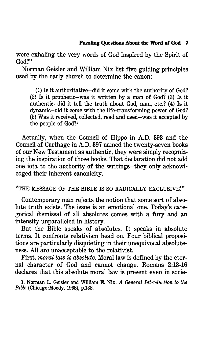were exhaling the very words of God inspired by the Spirit of God?"

Norman Geisler and William Nix list five guiding principles used by the early church to determine the canon:

(1) Is it authoritative-did it come with the authority of God? (2) Is it prophetic-was it written by a man of God? (3) Is it authentic-did it tell the truth about God, man, etc.? (4) Is it dynamic-did it come with the life-transforming power of God? (5) Was it received, collected, read and used-was it accepted by the people of God?<sup>1</sup>

Actually, when the Council of Hippo in A.D. 393 and the Council of Carthage in A.D. 397 named the twenty-seven books of our New Testament as authentic, they were simply recognizing the inspiration of those books. That declaration did not add one iota to the authority of the writings-they only acknowledged their inherent canonicity.

"THE MESSAGE OF THE BIBLE IS SO RADICALLY EXCLUSIVE!"

Contemporary man rejects the notion that some sort of absolute truth exists. The issue is an emotional one. Today's categorical dismissal of all absolutes comes with a fury and an intensity unparalleled in history.

But the Bible speaks of absolutes. It speaks in absolute terms. It confronts relativism head on. Four biblical propositions are particularly disquieting in their unequivocal absoluteness. All are unacceptable to the relativist.

First, *moral law is absolute*. Moral law is defined by the eternal character of God and cannot change. Romans 2:13-16 declares that this absolute moral law is present even in socie-

1. Norman L. Geisler and William E. Nix, *A General Introduction to tlw Bible* (Chicago:Moody, 1968), p.138.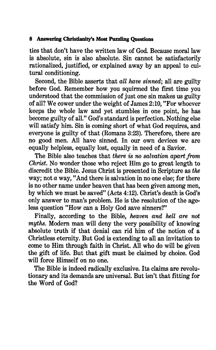ties that don't have the written law of God. Because moral law is absolute, sin is also absolute. Sin cannot be satisfactorily rationalized, justified, or explained away by an appeal to cultural conditioning.

Second, the Bible asserts that *all have sinned;* all are guilty before God. Remember how you squirmed the first time you understood that the commission of just one sin makes us guilty of all? We cower under the weight of James 2:10, "For whoever keeps the whole law and yet stumbles in one point, he has become guilty of all." God's standard is perfection. Nothing else will satisfy him. Sin is coming short of what God requires, and everyone is guilty of that (Romans 3:23). Therefore, there are no good men. All have sinned. In our own devices we are equally helpless, equally lost, equally in need of a Savior.

The Bible also teaches that *there is no salvation apart from*  Christ. No wonder those who reject Him go to great length to discredit the Bible. Jesus Christ is presented in Scripture as *the*  way; not  $a$  way, "And there is salvation in no one else; for there is no other name under heaven that has been given among men, by which we must be saved" (Acts 4:12). Christ's death is God's only answer to man's problem. He is the resolution of the ageless question "How can a Holy God save sinners?"

Finally, according to the Bible, *heaven and hell are not myths.* Modern man will deny the very possibility of knowing absolute truth if that denial can rid him of the notion of a Christless eternity. But God is extending to all an invitation to come to Him through faith in Christ. All who do will be given the gift of life. But that gift must be claimed by choice. God will force Himself on no one.

The Bible is indeed radically exclusive. Its claims are revolutionary and its demands are universal. But isn't that fitting for the Word of God?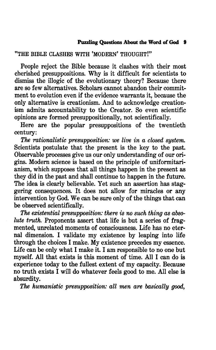### "THE BIBLE CLASHES WITH 'MODERN' THOUGHT!"

People reject the Bible because it clashes with their most cherished presuppositions. Why is it difficult for scientists to dismiss the illogic of the evolutionary theory? Because there are so few alternatives. Scholars cannot abandon their commitment to evolution even if the evidence warrants it, because the only alternative is creationism. And to acknowledge creationism admits accountability to the Creator. So even scientific opinions are formed presuppositionally, not scientifically.

Here are the popular presuppositions of the twentieth century:

*The rationalistic presupposition: we live in a closed system.*  Scientists postulate that the present is the key to the past. Observable processes give us our only understanding of our origins. Modern science is based on the principle of uniformitarianism, which supposes that all things happen in the present as they did in the past and shall continue to happen in the future. The idea is clearly believable. Yet such an assertion has staggering consequences. It does not allow for miracles or any intervention by God. We can be sure only of the things that can be observed scientifically.

*The existential presupposition: there is no such thing as absolute truth.* Proponents assert that life is but a series of fragmented, unrelated moments of consciousness. Life has no eternal dimension. I validate my existence by leaping into life through the choices I make. My existence precedes my essence. Life can be only what I make it. I am responsible to no one but myself. All that exists is this moment of time. All I can do is experience today to the fullest extent of my capacity. Because no truth exists I will do whatever feels good to me. All else is absurdity.

*The humanistic presupposition: all men are basically good,*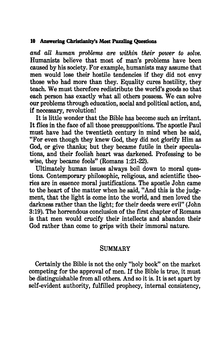*and all human problems are within their power to solve.*  Humanists believe that most of man's problems have been caused by his society. For example, humanists may assume that men would lose their hostile tendencies if they did not envy those who had more than they. Equality cures hostility, they teach. We must therefore redistribute the world's goods so that each person has exactly what all others possess. We can solve our problems through education, social and political action, and, if necessary, revolution!

It is little wonder that the Bible has become such an irritant. It flies in the face of all those presuppositions. The apostle Paul must have had the twentieth century in mind when he said, "For even though they knew God, they did not glorify Him as God, or give thanks; but they became futile in their speculations, and their foolish heart was darkened. Professing to be wise, they became fools" (Romans 1:21-22).

Ultimately human issues always boil down to moral questions. Contemporary philosophic, religious, and scientific theories are in essence moral justifications. The apostle John came to the heart of the matter when he said, "And this is the judgment, that the light is come into the world, and men loved the darkness rather than the light; for their deeds were evil" (John 3:19). The horrendous conclusion of the first chapter of Romans is that men would crucify their intellects and abandon their God rather than come to grips with their immoral nature.

#### SUMMARY

Certainly the Bible is not the only "holy book" on the market competing for the approval of men. If the Bible is true, it must be distinguishable from all others. And so it is. It is set apart by self-evident authority, fulfilled prophecy, internal consistency,